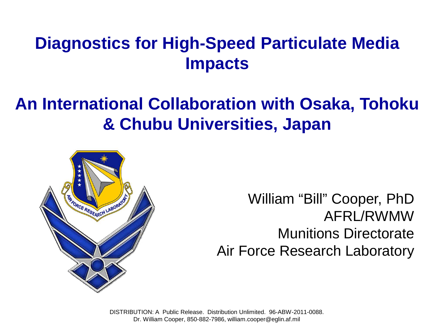## **Diagnostics for High-Speed Particulate Media Impacts**

## **An International Collaboration with Osaka, Tohoku & Chubu Universities, Japan**



William "Bill" Cooper, PhD AFRL/RWMW Munitions Directorate Air Force Research Laboratory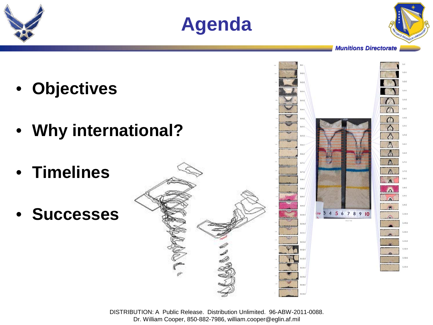



 $1.2.2$  $1.3 - 1$  $634$ 

bit).

L42

Ls.1

 $1.5.2$ 

L61  $14.3$ us i

 $1 - 7 - 2$ 

Like.

 $-144$ List  $1.9.2$ 

 $1.16.1$  $1 - 10 - 2$  $1 - 11 - 1$  $1 - 11 - 2$  $1.12 - 1$  $1.12 - 2$  $1 - 13 - 1$ 

- **Objectives**
- **Why international?**
- **Timelines**
- **Successes**



DISTRIBUTION: A Public Release. Distribution Unlimited. 96-ABW-2011-0088. Dr. William Cooper, 850-882-7986, william.cooper@eglin.af.mil

**Agenda**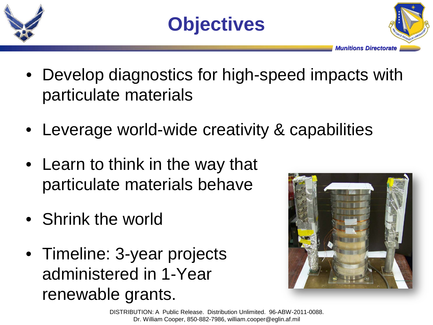



- Develop diagnostics for high-speed impacts with particulate materials
- Leverage world-wide creativity & capabilities
- Learn to think in the way that particulate materials behave
- Shrink the world
- Timeline: 3-year projects administered in 1-Year renewable grants.

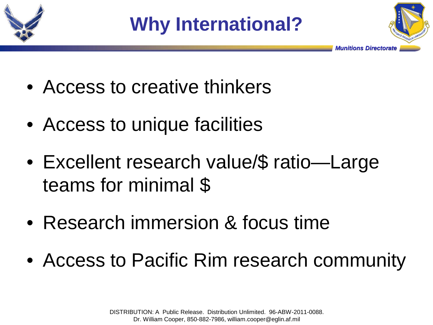



- Access to creative thinkers
- Access to unique facilities
- Excellent research value/\$ ratio—Large teams for minimal \$
- Research immersion & focus time
- Access to Pacific Rim research community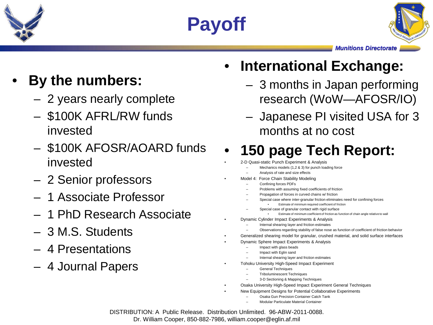





## • **By the numbers:**

- 2 years nearly complete
- \$100K AFRL/RW funds invested
- \$100K AFOSR/AOARD funds invested
- 2 Senior professors
- 1 Associate Professor
- 1 PhD Research Associate
- 3 M.S. Students
- 4 Presentations
- 4 Journal Papers

### • **International Exchange:**

- 3 months in Japan performing research (WoW—AFOSR/IO)
- Japanese PI visited USA for 3 months at no cost

## • **150 page Tech Report:**

- 2-D Quasi-static Punch Experiment & Analysis
	- Mechanics models (1,2 & 3) for punch loading force
	- Analysis of rate and size effects
	- Model 4: Force Chain Stability Modeling
		- Confining forces PDFs
		- Problems with assuming fixed coefficients of friction
		- Propagation of forces in curved chains w/ friction
		- Special case where inter-granular friction eliminates need for confining forces • Estimate of minimum required coefficient of friction
			- Special case of granular contact with rigid surface
			- Estimate of minimum coefficient of friction as function of chain angle relative to wall
- Dynamic Cylinder Impact Experiments & Analysis
	- Internal shearing layer and friction estimates
	- Observations regarding stability of false nose as function of coefficient of friction behavior
- Generalized shearing model for granular, crushed material, and solid surface interfaces
- Dynamic Sphere Impact Experiments & Analysis
	- Impact with glass beads
	- Impact with Eglin sand
	- Internal shearing layer and friction estimates • Tohoku University High-Speed Impact Experiment
		- General Techniques
			- Triboluminescent Techniques
		- 3-D Sectioning & Mapping Techniques
- Osaka University High-Speed Impact Experiment General Techniques
	- New Equipment Designs for Potential Collaborative Experiments
		- Osaka Gun Precision Container Catch Tank
			- Modular Particulate Material Container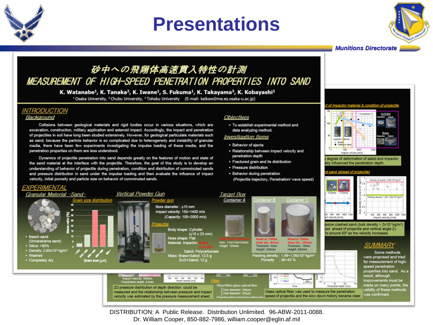

## **Presentations**

**Objectives** 

· To establish experimental method and

· Relationship between impact velocity and

(Projectile trajectory, Penetration/ wave speed)

· Fractured grain and its distribution

data analyzing method.

**Investigation Items** 

· Behavior of ejecta

penetration depth

· Pressure distribution

· Behavior during penetration



### *Munitions Directorate*

f impactor material & condit

**Impactor** material O Brass<mark>a</mark><br> **C** Shame on the

> 524 Impact velocity [m/s]

degree of deformation of sabot and impactor

Density of quartz: 2.65x10<sup>3</sup> kg/m<sup>3</sup>

atly influenced the penetration depth.

and (ahead of projectile)

### 砂中への飛翔体高速貫入特性の計測 MEASUREMENT OF HIGH-SPEED PENETRATION PROPERTIES INTO SAND

K. Watanabe<sup>1</sup>, K. Tanaka<sup>2</sup>, K. Iwane<sup>1</sup>, S. Fukuma<sup>1</sup>, K. Takayama<sup>3</sup>, K. Kobayashi<sup>1</sup>

<sup>1</sup> Osaka University, <sup>2</sup> Chubu University, <sup>3</sup> Tohoku University (E-mail: keikow@me.es.osaka-u.ac.jp)

### **INTRODUCTION**

### Background

Collisions between geological materials and rigid bodies occur in various situations, which are excavation, construction, military application and asteroid impact. Accordingly, the impact and penetration of projectiles in soil have long been studied extensively. However, for geological particulate materials such as sand, because the particle behavior is so complicated due to heterogeneity and instability of granular media, there have been few experiments investigating the impulse loading of these media, and the penetration properties on them are less understood.

Dynamics of projectile penetration into sand depends greatly on the features of motion and state of the sand material at the interface with the projectile. Therefore, the goal of this study is to develop an understanding of behavior of projectile during penetration, condition and distribution of comminuted sands and pressure distribution in sand under the impulse loading and then evaluate the influence of impact velocity, initial porosity and particle size on behavior of comminuted sands.

### EXPERIMENTAL

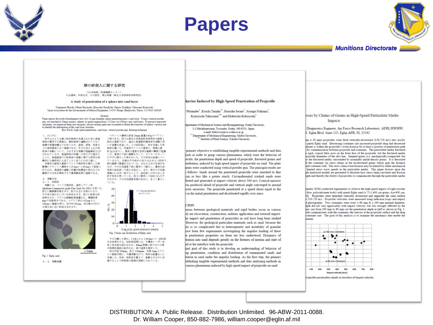





### *Munitions Directorate*

#### 球の砂突入に関する研究

○山本裕朗 (医療機器センター) 大谷清伸、早坂庄吉、小川俊宏、高山和喜(東北大学波体科学研究所)

A study of penetration of a sphere into sand layer

Yamamoto Hiroaki, Ohtani Kiyonobu, Hayasaka Shoukichi, Ogawa Toshihiro, Takayama Kazuyoshi Japan Association for the Advancement of Medical Equipment, 3-42-6 Hongo, Bunkyo-ku, Tokyo, 113-0033 JAPAN

#### Abstract

Paper reports the result of preliminary tests of a 10 mm diameter sphere penetrating into a sand layer. Using a vertical powder gun, we launched 0 10um stainless spheres at speed ranging from 1.25 km/s to1.94 km/s into sand layers. To preserve impacted speciment, we immersed them into inorganic tilicate-sealing agent and succeeded to freeze the trajectory of sphere's motion and to identify the deformation of the sand layer structure.

Key Words: high-speed penetration, sand layer, vertical powder gun, finening technique

#### 1. はじめに

砂や土のような微小粒状物体が充填された系に高速 物体が衝突する視象は、微粒固体の運動ばかりでなく 破壊や表層刺離などを伴うため、固体、液体、気体な どの単相媒体に比べ複雑である。外力が加えられた粉 粒体の単動について、さまざまな実験や理論解析[1]が 行われているが、高速物体が砂層への突入する場合の ように、高速価減での粉波体の挙動に関する研究は実 験的にも解析的にも完了したと言うにはほど違い。 本報告は縦型火薬統でフロリダ海岸砂を満たした試 映槽にステンレス鋼球を 1.25 km/s~1.94 km/s で垂直に 打ち込み、高速球の運動と砂量内部構造の変化などを 観測する方法を開発する予備実験結果の連絡である。

#### 2. 実験方法  $2 - 1$  供試動

実験には、フロリダ海岸砂、通称エグリン砂 (Quikrete Commercial grade Fine Sand No.1961) を用いた。 図1に繊微鏡写真を示す。粒子は主に石英からなり、 やや角が取れたいびつか形状を示す。関うに粒度分析 結果を示す。グラフは縦軸粒度重量比%、模軸粒度 mmの対数表示である。エグリン砂は335μmから 500um に極値を持ち、母平均 361um、母分散 0.733の 正規分布に近い校長分布を示す。



Fig. 1 Eglin sand  $2 - 2$  35948

ステンレス鋼球は直径 10mm 重量 6.63g のペアリン グ球である。図3は東北大学流体科学研究所の経型1 設式火薬統であり、過去に高速燃料検波発生実験に用 いた装置を改造した。この回収部に、砂を充填した供 試体を置いた。狩猟用ライフルの薬菌に、無煙火薬 約3gを封入し、端末の雷管を空気圧配動の撃鉄で起爆 した。薬室の下部に随腰を介して、ボリカーボネート<br>のサポに挿入した球をおいた。サポ形状は後端にフレ ーをもち、先端はやや料めの切り込みをもつ形状で、 試行錯誤で最適化されている。なおも工夫の余地があ るが、サポは加速管下部に販売して静止し、爆発生成 気体の回収認への流入を阻止し、また、球だけが加速 管輪心にほぼ一致することで、回収部への打ち出しを<br>許す形状を持っている。図3に激突して回収されたサ ポを示す。サポは加速管末端の固みに、きつく貫入し ている。



サポ分離した球は、125kgから1.94kmgで、固収部 を自由飛行する。回収部空間には、半導体レーザー光 東と受光部を組み合わせ、60mm間隔に取り付けた飛 行時間計測部が配列され、球の連度を推定した。 砂は内径 100mm、長さ 150mmm、肉厚 5mmのアク リル樹脂円筒に、予備実験なので、特別な配慮なしに 中国した、保安、防約経た都さず、配動させたがら中 場することで砂索度の制御を視野に入れている。

#### havior Induced by High-Speed Penetration of Projectile

Watanabe", Koichi Tanaka"', Keisuke Iwane", Syungo Fukuma", Kazuvoshi Takavama"" and Hidetoshi Kobavashi

partment of Mechanical Science and Bioengineering, Osaka University, 1-3 Machikaneyama, Toyonaka, Osaka, 560-8531, Japan. e-mail: keikowième.es.osaka-u.ac.jp "Department of Mechanical Engineering, Chubu University, Institute of Fluid Science, Tohoku University

primary objective is establishing tangible experimental methods and data hods in order to grasp various phenomena, which were the behavior of jectile, the penetration depth and speed of projectile, fractured grains and istribution, induced by high-speed impact of projectile on sand. The plate nents were conducted using vertical powder gun. The principal results are follows: Sands around the penetrated projectile were smashed to fine um or less like a potato starch. Circumferential crashed sands were ibuted and generated at impact velocity above 300 m/s. Conical massive was produced ahead of projectile and vertical angle converged to around ocity increases. The projectile penetrated at a speed about equal to the y in the initial penetration and decelerated rapidly over since.

#### **CTON**

sions between geological materials and rigid bodies occur in various ch are excavation, construction, military application and asteroid impact. he impact and penetration of projectiles in soil have long been studied However, for geological particulate materials such as sand, because the for is so complicated due to heterogeneity and instability of granular have been few experiments investigating the impulse loading of these be penetration properties on them are less understood. Dynamics of ttration into sand depends greatly on the features of motion and state of ial at the interface with the projectile.

inal goal of this study is to develop an understanding of behavior of ing penetration, condition and distribution of comminuted sands and bution in sand under the impulse loading. As the first step, the primary tablishing tangible experimental methods and data analyzing methods in various phenomena induced by high-speed impact of projectile on sand.

esses by Chains of Grains in High-Speed Particulate Media Impacts

Diagnostics Engineer, Air Force Research Laboratory, AFRL/RWMW, V. Eglin Blvd Suite 135, Eglin AFB, FL 32542

am x 26 mm) projectiles were fired vertically-downward (150-720 m/s) into acrylic quartz Eglin sand. Decreasing container size increased projectile drag and decreased plainer is within the projectile's event horizon for at least a portion of penetration path for communication between projectile and container. The particulate media fractured a rigid, conical false nose on the front face of the projectile, but the fractured media gojectile diameters of the shot line. Janumed grains (i.e. mechanically-compacted, but to the fractured media; surrounded by nominally initial-density grains. It is theorized th the container via stress chains in the un-fractured grains which span the distance and container wall. The stress chain event horizon may be limited by either mechanical limited stress wave speeds in the particulate media. This paper focuses upon the ole analytical models are presented to illustrate how stress chain curvature and friction neth and thereby the ability of projectiles to communicate through the particulate media

tanabe 2010] conducted experiments to observe the high-speed impact of right-circular face, polycarbonate body) with quartz Eglin sand ( $\phi$  75-1,400 um grains, d50=400 um, [0]. Projectiles were launched vertically downward and impacted the sand surface t 150-720 m/s. Projectile velocities were measured using induction loops and impact d photography. Two containers were used:  $\phi$  80 mm &  $\phi$  190 mm internal diameter, epth did not vary appreciably with impact velocity, but was strongly affected by the ner size from 190 mm to 80 mm cut the penetration depth in half as shown in Fig. 1. tile communicates with the container--the stresses at the projectile surface and the drag container size. The goal of this analysis is to examine the mechanics that enable the tainer